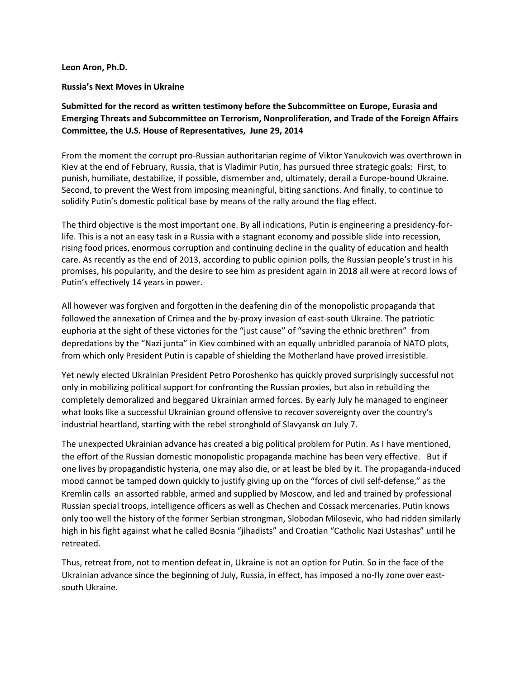## **Leon Aron, Ph.D.**

## **Russia's Next Moves in Ukraine**

## **Submitted for the record as written testimony before the Subcommittee on Europe, Eurasia and Emerging Threats and Subcommittee on Terrorism, Nonproliferation, and Trade of the Foreign Affairs Committee, the U.S. House of Representatives, June 29, 2014**

From the moment the corrupt pro-Russian authoritarian regime of Viktor Yanukovich was overthrown in Kiev at the end of February, Russia, that is Vladimir Putin, has pursued three strategic goals: First, to punish, humiliate, destabilize, if possible, dismember and, ultimately, derail a Europe-bound Ukraine. Second, to prevent the West from imposing meaningful, biting sanctions. And finally, to continue to solidify Putin's domestic political base by means of the rally around the flag effect.

The third objective is the most important one. By all indications, Putin is engineering a presidency-forlife. This is a not an easy task in a Russia with a stagnant economy and possible slide into recession, rising food prices, enormous corruption and continuing decline in the quality of education and health care. As recently as the end of 2013, according to public opinion polls, the Russian people's trust in his promises, his popularity, and the desire to see him as president again in 2018 all were at record lows of Putin's effectively 14 years in power.

All however was forgiven and forgotten in the deafening din of the monopolistic propaganda that followed the annexation of Crimea and the by-proxy invasion of east-south Ukraine. The patriotic euphoria at the sight of these victories for the "just cause" of "saving the ethnic brethren" from depredations by the "Nazi junta" in Kiev combined with an equally unbridled paranoia of NATO plots, from which only President Putin is capable of shielding the Motherland have proved irresistible.

Yet newly elected Ukrainian President Petro Poroshenko has quickly proved surprisingly successful not only in mobilizing political support for confronting the Russian proxies, but also in rebuilding the completely demoralized and beggared Ukrainian armed forces. By early July he managed to engineer what looks like a successful Ukrainian ground offensive to recover sovereignty over the country's industrial heartland, starting with the rebel stronghold of Slavyansk on July 7.

The unexpected Ukrainian advance has created a big political problem for Putin. As I have mentioned, the effort of the Russian domestic monopolistic propaganda machine has been very effective.But if one lives by propagandistic hysteria, one may also die, or at least be bled by it. The propaganda-induced mood cannot be tamped down quickly to justify giving up on the "forces of civil self-defense," as the Kremlin calls an assorted rabble, armed and supplied by Moscow, and led and trained by professional Russian special troops, intelligence officers as well as Chechen and Cossack mercenaries. Putin knows only too well the history of the former Serbian strongman, Slobodan Milosevic, who had ridden similarly high in his fight against what he called Bosnia "jihadists" and Croatian "Catholic Nazi Ustashas" until he retreated.

Thus, retreat from, not to mention defeat in, Ukraine is not an option for Putin. So in the face of the Ukrainian advance since the beginning of July, Russia, in effect, has imposed a no-fly zone over eastsouth Ukraine.